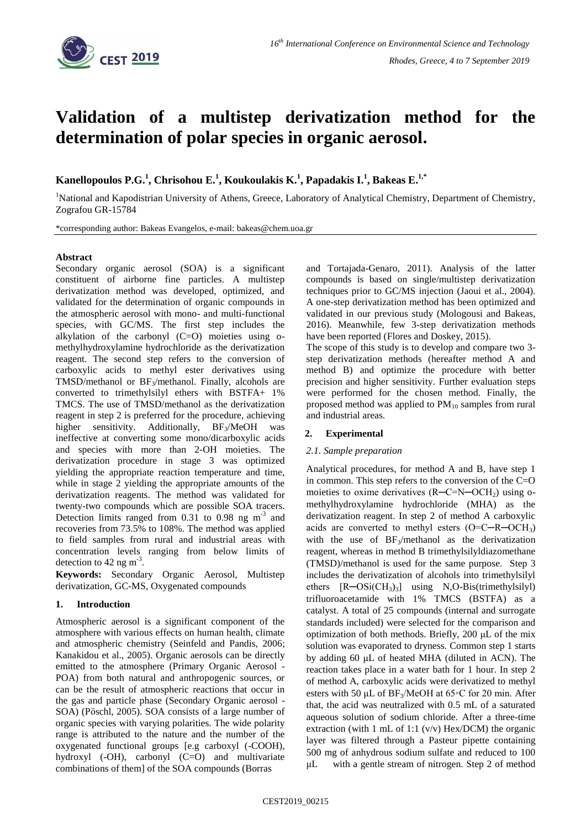

# **Validation of a multistep derivatization method for the determination of polar species in organic aerosol.**

**Kanellopoulos P.G. 1 , Chrisohou E. 1 , Koukoulakis K. 1 , Papadakis I.<sup>1</sup> , Bakeas E. 1,\***

<sup>1</sup>National and Kapodistrian University of Athens, Greece, Laboratory of Analytical Chemistry, Department of Chemistry, Zografou GR-15784

\*corresponding author: Bakeas Evangelos, e-mail: bakeas@chem.uoa.gr

### **Abstract**

Secondary organic aerosol (SOA) is a significant constituent of airborne fine particles. A multistep derivatization method was developed, optimized, and validated for the determination of organic compounds in the atmospheric aerosol with mono- and multi-functional species, with GC/MS. The first step includes the alkylation of the carbonyl  $(C=O)$  moieties using omethylhydroxylamine hydrochloride as the derivatization reagent. The second step refers to the conversion of carboxylic acids to methyl ester derivatives using TMSD/methanol or  $BF_3/methanol$ . Finally, alcohols are converted to trimethylsilyl ethers with BSTFA+ 1% TMCS. The use of TMSD/methanol as the derivatization reagent in step 2 is preferred for the procedure, achieving higher sensitivity. Additionally, BF<sub>3</sub>/MeOH was ineffective at converting some mono/dicarboxylic acids and species with more than 2-OH moieties. The derivatization procedure in stage 3 was optimized yielding the appropriate reaction temperature and time, while in stage 2 yielding the appropriate amounts of the derivatization reagents. The method was validated for twenty-two compounds which are possible SOA tracers. Detection limits ranged from  $0.31$  to  $0.98$  ng m<sup>-3</sup> and recoveries from 73.5% to 108%. The method was applied to field samples from rural and industrial areas with concentration levels ranging from below limits of detection to 42 ng m<sup>-3</sup>.

**Keywords:** Secondary Organic Aerosol, Multistep derivatization, GC-MS, Oxygenated compounds

# **1. Introduction**

Atmospheric aerosol is a significant component of the atmosphere with various effects on human health, climate and atmospheric chemistry (Seinfeld and Pandis, 2006; Kanakidou et al., 2005). Organic aerosols can be directly emitted to the atmosphere (Primary Organic Aerosol - POA) from both natural and anthropogenic sources, or can be the result of atmospheric reactions that occur in the gas and particle phase (Secondary Organic aerosol - SOA) (Pöschl, 2005). SOA consists of a large number of organic species with varying polarities. The wide polarity range is attributed to the nature and the number of the oxygenated functional groups [e.g carboxyl (-COOH), hydroxyl (-OH), carbonyl (C=O) and multivariate combinations of them] of the SOA compounds (Borras

and Tortajada-Genaro, 2011). Analysis of the latter compounds is based on single/multistep derivatization techniques prior to GC/MS injection (Jaoui et al., 2004). A one-step derivatization method has been optimized and validated in our previous study (Mologousi and Bakeas, 2016). Meanwhile, few 3-step derivatization methods have been reported (Flores and Doskey, 2015).

The scope of this study is to develop and compare two 3 step derivatization methods (hereafter method A and method B) and optimize the procedure with better precision and higher sensitivity. Further evaluation steps were performed for the chosen method. Finally, the proposed method was applied to  $PM_{10}$  samples from rural and industrial areas.

# **2. Experimental**

### *2.1. Sample preparation*

Analytical procedures, for method A and B, have step 1 in common. This step refers to the conversion of the  $C=O$ moieties to oxime derivatives  $(R-C=N-OCH_2)$  using omethylhydroxylamine hydrochloride (MHA) as the derivatization reagent. In step 2 of method A carboxylic acids are converted to methyl esters  $(O=C-R-OCH_3)$ with the use of  $BF_3/$ methanol as the derivatization reagent, whereas in method B trimethylsilyldiazomethane (TMSD)/methanol is used for the same purpose. Step 3 includes the derivatization of alcohols into trimethylsilyl ethers  $[R-OSi(CH_3)_3]$  using N,O-Bis(trimethylsilyl) trifluoroacetamide with 1% TMCS (BSTFA) as a catalyst. A total of 25 compounds (internal and surrogate standards included) were selected for the comparison and optimization of both methods. Briefly, 200 μL of the mix solution was evaporated to dryness. Common step 1 starts by adding 60 μL of heated MHA (diluted in ACN). The reaction takes place in a water bath for 1 hour. In step 2 of method A, carboxylic acids were derivatized to methyl esters with 50 μL of BF<sub>3</sub>/MeOH at 65∘C for 20 min. After that, the acid was neutralized with 0.5 mL of a saturated aqueous solution of sodium chloride. After a three-time extraction (with 1 mL of 1:1  $(v/v)$  Hex/DCM) the organic layer was filtered through a Pasteur pipette containing 500 mg of anhydrous sodium sulfate and reduced to 100 μL with a gentle stream of nitrogen. Step 2 of method